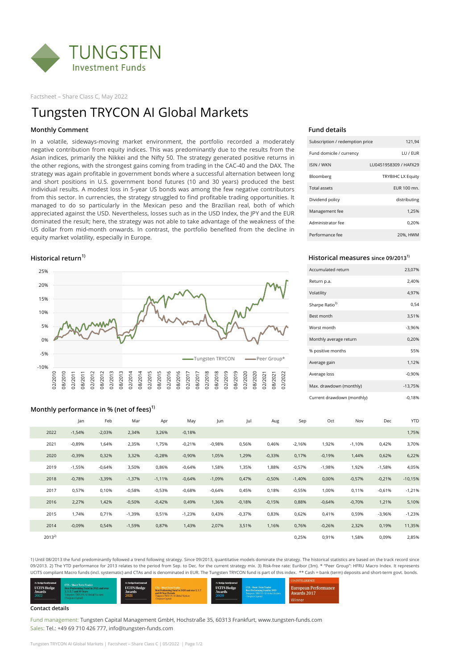

Factsheet – Share Class C, May 2022

### **Monthly Comment Fund details**

| Subscription / redemption price | 121,94                   |
|---------------------------------|--------------------------|
| Fund domicile / currency        | LU / EUR                 |
| <b>ISIN / WKN</b>               | LU0451958309 / HAFX29    |
| Bloomberg                       | <b>TRYBIHC LX Equity</b> |
| Total assets                    | EUR 100 mn.              |
| Dividend policy                 | distributing             |
| Management fee                  | 1.25%                    |
| Administrator fee               | 0,20%                    |
| Performance fee                 | 20%, HWM                 |

### **Historical return1) Historical measures since 09/20131)**

| Accumulated return         | 23,07%    |
|----------------------------|-----------|
| Return p.a.                | 2,40%     |
| Volatility                 | 4,97%     |
| Sharpe Ratio <sup>3)</sup> | 0,54      |
| Best month                 | 3,51%     |
| Worst month                | $-3,96%$  |
| Monthly average return     | 0,20%     |
| % positive months          | 55%       |
| Average gain               | 1,12%     |
| Average loss               | $-0.90%$  |
| Max. drawdown (monthly)    | $-13,75%$ |
| Current drawdown (monthly) | $-0.18%$  |

### **Monthly performance in % (net of fees)1)**

## Jan Feb Mar Apr May Jun Jul Aug Sep Oct Nov Dec YTD 2022 -1,54% -2,03% 2,34% 3,26% -0,18% 1,75% 2021 -0,89% 1,64% 2,35% 1,75% -0,21% -0,98% 0,56% 0,46% -2,16% 1,92% -1,10% 0,42% 3,70% 2020 -0,39% 0,32% 3,32% -0,28% -0,90% 1,05% 1,29% -0,33% 0,17% -0,19% 1,44% 0,62% 6,22% 2019 -1,55% -0,64% 3,50% 0,86% -0,64% 1,58% 1,35% 1,88% -0,57% -1,98% 1,92% -1,58% 4,05%

1) Until 08/2013 the fund predominantly followed a trend following strategy. Since 09/2013, quantitative models dominate the strategy. The historical statistics are based on the track record since 09/2013. 2) The YTD performance for 2013 relates to the period from Sep. to Dec. for the current strategy mix. 3) Risk-free rate: Euribor (3m). \* "Peer Group": HFRU Macro Index. It represents UCITS compliant Macro funds (incl. systematic) and CTAs and is denominated in EUR. The Tungsten TRYCON fund is part of this index. \*\* Cash = bank (term) deposits and short-term govt. bonds.



| 2018       | $-0,78%$ | $-3,39%$ | $-1,37%$ | $-1,11\%$ | $-0,64%$ | $-1,09%$ | 0,47%    | $-0.50%$ | $-1,40%$ | 0,00%    | $-0,57%$ | $-0,21%$ | $-10,15%$ |
|------------|----------|----------|----------|-----------|----------|----------|----------|----------|----------|----------|----------|----------|-----------|
| 2017       | 0,57%    | 0,10%    | $-0.58%$ | $-0,53%$  | $-0,68%$ | $-0.64%$ | 0,45%    | 0,18%    | $-0,55%$ | 1,00%    | 0,11%    | $-0,61%$ | $-1,21%$  |
| 2016       | 2,27%    | 1,42%    | $-0,50%$ | $-0,42%$  | 0,49%    | 1,36%    | $-0,18%$ | $-0,15%$ | 0,88%    | $-0.64%$ | $-0,70%$ | 1,21%    | 5,10%     |
| 2015       | ,74%     | 0,71%    | $-1,39%$ | 0,51%     | $-1,23%$ | 0,43%    | $-0.37%$ | 0,83%    | 0,62%    | 0,41%    | 0,59%    | $-3,96%$ | $-1,23%$  |
| 2014       | $-0.09%$ | 0,54%    | $-1,59%$ | 0,87%     | 1,43%    | 2,07%    | 3,51%    | 1,16%    | 0,76%    | $-0,26%$ | 2,32%    | 0,19%    | 11,35%    |
| $2013^{2}$ |          |          |          |           |          |          |          |          | 0,25%    | 0,91%    | 58%، ا   | 0,09%    | 2,85%     |

#### **Contact details**

Fund management: Tungsten Capital Management GmbH, Hochstraße 35, 60313 Frankfurt, www.tungsten-funds.com Sales: Tel.: +49 69 710 426 777, info@tungsten-funds.com

Tungsten TRYCON AI Global Markets | Factsheet – Share Class C | 05/2022 | Page 1/2

## Tungsten TRYCON AI Global Markets



In a volatile, sideways-moving market environment, the portfolio recorded a moderately negative contribution from equity indices. This was predominantly due to the results from the Asian indices, primarily the Nikkei and the Nifty 50. The strategy generated positive returns in the other regions, with the strongest gains coming from trading in the CAC-40 and the DAX. The strategy was again profitable in government bonds where a successful alternation between long and short positions in U.S. government bond futures (10 and 30 years) produced the best individual results. A modest loss in 5-year US bonds was among the few negative contributors from this sector. In currencies, the strategy struggled to find profitable trading opportunities. It managed to do so particularly in the Mexican peso and the Brazilian real, both of which appreciated against the USD. Nevertheless, losses such as in the USD Index, the JPY and the EUR dominated the result; here, the strategy was not able to take advantage of the weakness of the US dollar from mid-month onwards. In contrast, the portfolio benefited from the decline in equity market volatility, especially in Europe.